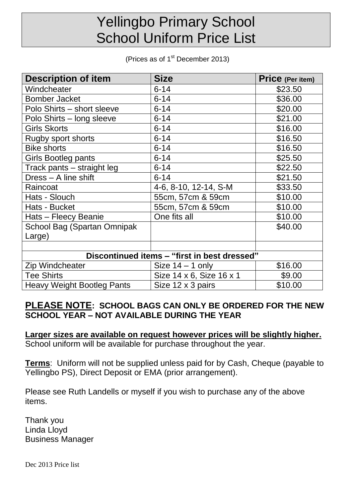## Yellingbo Primary School School Uniform Price List

(Prices as of  $1<sup>st</sup>$  December 2013)

| <b>Description of item</b>                   | <b>Size</b>              | <b>Price</b> (Per item) |  |  |
|----------------------------------------------|--------------------------|-------------------------|--|--|
| Windcheater                                  | $6 - 14$                 | \$23.50                 |  |  |
| <b>Bomber Jacket</b>                         | $6 - 14$                 | \$36.00                 |  |  |
| Polo Shirts - short sleeve                   | $6 - 14$                 | \$20.00                 |  |  |
| Polo Shirts - long sleeve                    | $6 - 14$                 | \$21.00                 |  |  |
| <b>Girls Skorts</b>                          | $6 - 14$                 | \$16.00                 |  |  |
| Rugby sport shorts                           | $6 - 14$                 | \$16.50                 |  |  |
| <b>Bike shorts</b>                           | $6 - 14$                 | \$16.50                 |  |  |
| Girls Bootleg pants                          | $6 - 14$                 | \$25.50                 |  |  |
| Track pants – straight leg                   | $6 - 14$                 | \$22.50                 |  |  |
| Dress - A line shift                         | $6 - 14$                 | \$21.50                 |  |  |
| Raincoat                                     | 4-6, 8-10, 12-14, S-M    | \$33.50                 |  |  |
| Hats - Slouch                                | 55cm, 57cm & 59cm        | \$10.00                 |  |  |
| Hats - Bucket                                | 55cm, 57cm & 59cm        | \$10.00                 |  |  |
| Hats - Fleecy Beanie                         | One fits all             | \$10.00                 |  |  |
| School Bag (Spartan Omnipak                  |                          | \$40.00                 |  |  |
| Large)                                       |                          |                         |  |  |
|                                              |                          |                         |  |  |
| Discontinued items - "first in best dressed" |                          |                         |  |  |
| <b>Zip Windcheater</b>                       | Size $14 - 1$ only       | \$16.00                 |  |  |
| <b>Tee Shirts</b>                            | Size 14 x 6, Size 16 x 1 | \$9.00                  |  |  |
| <b>Heavy Weight Bootleg Pants</b>            | Size 12 x 3 pairs        | \$10.00                 |  |  |

## **PLEASE NOTE: SCHOOL BAGS CAN ONLY BE ORDERED FOR THE NEW SCHOOL YEAR – NOT AVAILABLE DURING THE YEAR**

**Larger sizes are available on request however prices will be slightly higher.** School uniform will be available for purchase throughout the year.

**Terms**: Uniform will not be supplied unless paid for by Cash, Cheque (payable to Yellingbo PS), Direct Deposit or EMA (prior arrangement).

Please see Ruth Landells or myself if you wish to purchase any of the above items.

Thank you Linda Lloyd Business Manager

Dec 2013 Price list